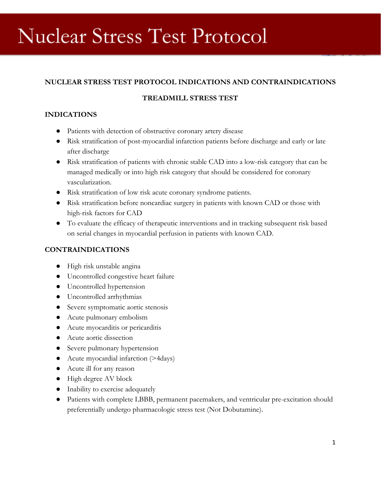# **Nuclear Stress Test Protocol**

## **NUCLEAR STRESS TEST PROTOCOL INDICATIONS AND CONTRAINDICATIONS**

#### **TREADMILL STRESS TEST**

### **INDICATIONS**

- Patients with detection of obstructive coronary artery disease
- Risk stratification of post-myocardial infarction patients before discharge and early or late after discharge
- Risk stratification of patients with chronic stable CAD into a low-risk category that can be managed medically or into high risk category that should be considered for coronary vascularization.
- Risk stratification of low risk acute coronary syndrome patients.
- Risk stratification before noncardiac surgery in patients with known CAD or those with high-risk factors for CAD
- To evaluate the efficacy of therapeutic interventions and in tracking subsequent risk based on serial changes in myocardial perfusion in patients with known CAD.

#### **CONTRAINDICATIONS**

- High risk unstable angina
- Uncontrolled congestive heart failure
- Uncontrolled hypertension
- Uncontrolled arrhythmias
- Severe symptomatic aortic stenosis
- Acute pulmonary embolism
- Acute myocarditis or pericarditis
- Acute aortic dissection
- Severe pulmonary hypertension
- Acute myocardial infarction (>4days)
- Acute ill for any reason
- High degree AV block
- Inability to exercise adequately
- Patients with complete LBBB, permanent pacemakers, and ventricular pre-excitation should preferentially undergo pharmacologic stress test (Not Dobutamine).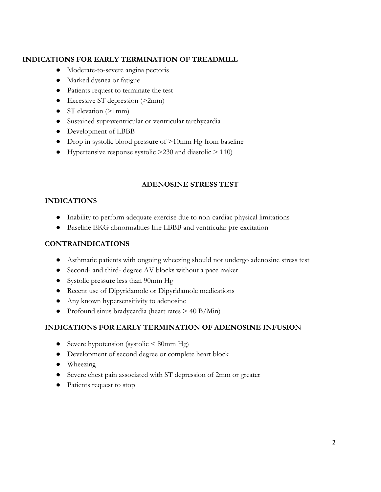## **INDICATIONS FOR EARLY TERMINATION OF TREADMILL**

- Moderate-to-severe angina pectoris
- Marked dysnea or fatigue
- Patients request to terminate the test
- Excessive ST depression (>2mm)
- ST elevation (>1mm)
- Sustained supraventricular or ventricular tarchycardia
- Development of LBBB
- Drop in systolic blood pressure of >10mm Hg from baseline
- Hypertensive response systolic  $>230$  and diastolic  $>110$ )

# **ADENOSINE STRESS TEST**

#### **INDICATIONS**

- Inability to perform adequate exercise due to non-cardiac physical limitations
- Baseline EKG abnormalities like LBBB and ventricular pre-excitation

### **CONTRAINDICATIONS**

- Asthmatic patients with ongoing wheezing should not undergo adenosine stress test
- Second- and third- degree AV blocks without a pace maker
- Systolic pressure less than 90mm Hg
- Recent use of Dipyridamole or Dipyridamole medications
- Any known hypersensitivity to adenosine
- Profound sinus bradycardia (heart rates  $> 40$  B/Min)

#### **INDICATIONS FOR EARLY TERMINATION OF ADENOSINE INFUSION**

- Severe hypotension (systolic  $\leq 80$ mm Hg)
- Development of second degree or complete heart block
- Wheezing
- Severe chest pain associated with ST depression of 2mm or greater
- Patients request to stop